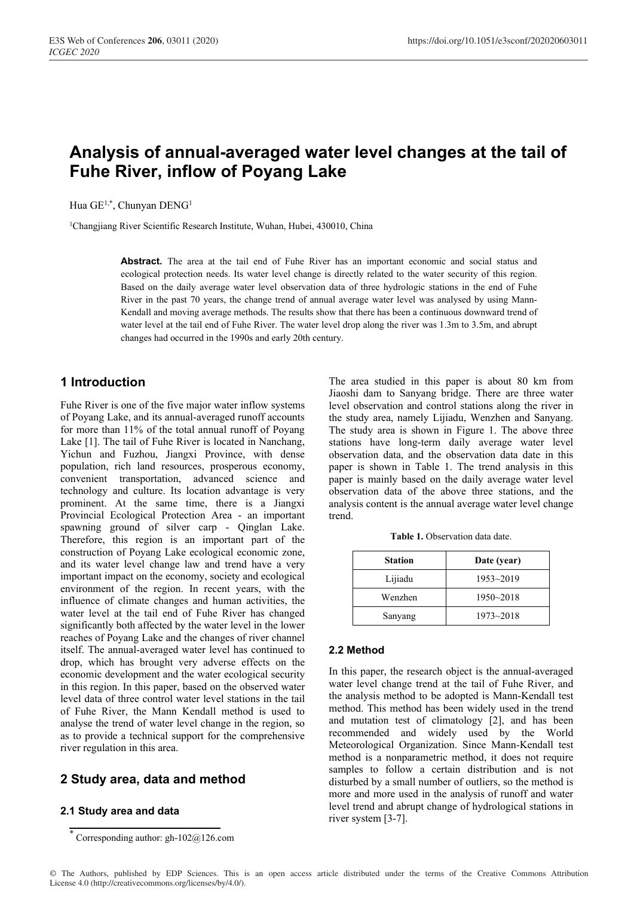# **Analysis of annual-averaged water level changes at the tail of Fuhe River, inflow of Poyang Lake**

Hua GE<sup>1,\*</sup>, Chunyan DENG<sup>1</sup>

<sup>1</sup>Changjiang River Scientific Research Institute, Wuhan, Hubei, 430010, China

**Abstract.** The area at the tail end of Fuhe River has an important economic and social status and ecological protection needs. Its water level change is directly related to the water security of this region. Based on the daily average water level observation data of three hydrologic stations in the end of Fuhe River in the past 70 years, the change trend of annual average water level was analysed by using Mann-Kendall and moving average methods. The results show that there has been a continuous downward trend of water level at the tail end of Fuhe River. The water level drop along the river was 1.3m to 3.5m, and abrupt changes had occurred in the 1990s and early 20th century.

# **1 Introduction**

Fuhe River is one of the five major water inflow systems of Poyang Lake, and its annual-averaged runoff accounts for more than 11% of the total annual runoff of Poyang Lake [1]. The tail of Fuhe River is located in Nanchang, Yichun and Fuzhou, Jiangxi Province, with dense population, rich land resources, prosperous economy, convenient transportation, advanced science and technology and culture. Its location advantage is very prominent. At the same time, there is a Jiangxi Provincial Ecological Protection Area - an important spawning ground of silver carp - Qinglan Lake. Therefore, this region is an important part of the construction of Poyang Lake ecological economic zone, and its water level change law and trend have a very important impact on the economy, society and ecological environment of the region. In recent years, with the influence of climate changes and human activities, the water level at the tail end of Fuhe River has changed significantly both affected by the water level in the lower reaches of Poyang Lake and the changes of river channel itself. The annual-averaged water level has continued to drop, which has brought very adverse effects on the economic development and the water ecological security in this region. In this paper, based on the observed water level data of three control water level stations in the tail of Fuhe River, the Mann Kendall method is used to analyse the trend of water level change in the region, so as to provide a technical support for the comprehensive river regulation in this area.

# **2 Study area, data and method**

#### **2.1 Study area and data**

The area studied in this paper is about 80 km from Jiaoshi dam to Sanyang bridge. There are three water level observation and control stations along the river in the study area, namely Lijiadu, Wenzhen and Sanyang. The study area is shown in Figure 1. The above three stations have long-term daily average water level observation data, and the observation data date in this paper is shown in Table 1. The trend analysis in this paper is mainly based on the daily average water level observation data of the above three stations, and the analysis content is the annual average water level change trend.

**Table 1.** Observation data date.

| <b>Station</b> | Date (year)   |
|----------------|---------------|
| Lijiadu        | $1953 - 2019$ |
| Wenzhen        | $1950 - 2018$ |
| Sanyang        | $1973 - 2018$ |

#### **2.2 Method**

In this paper, the research object is the annual-averaged water level change trend at the tail of Fuhe River, and the analysis method to be adopted is Mann-Kendall test method. This method has been widely used in the trend and mutation test of climatology [2], and has been recommended and widely used by the World Meteorological Organization. Since Mann-Kendall test method is a nonparametric method, it does not require samples to follow a certain distribution and is not disturbed by a small number of outliers, so the method is more and more used in the analysis of runoff and water level trend and abrupt change of hydrological stations in river system [3-7].

<sup>\*</sup> Corresponding author: gh-102@126.com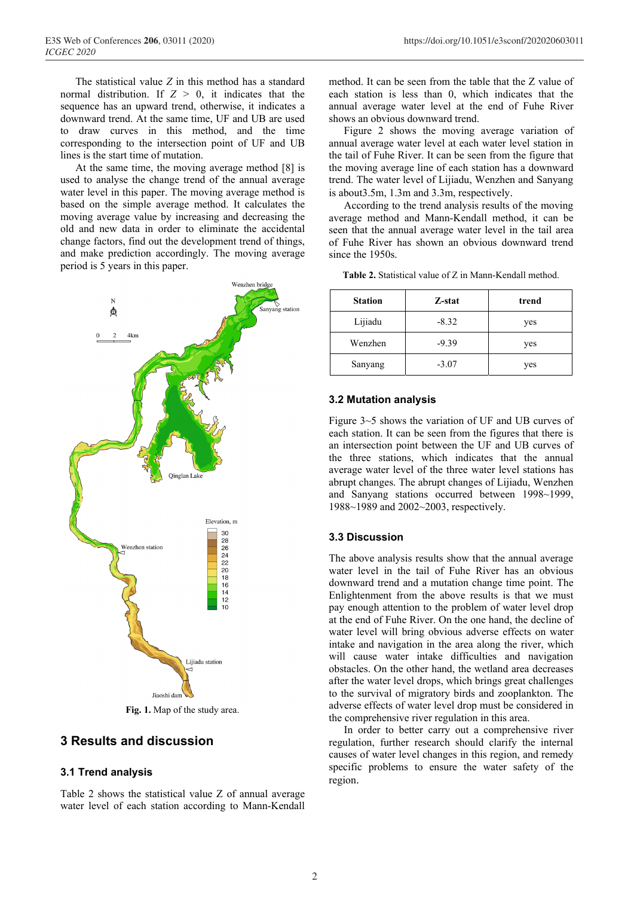The statistical value *Z* in this method has a standard normal distribution. If  $Z > 0$ , it indicates that the sequence has an upward trend, otherwise, it indicates a downward trend. At the same time, UF and UB are used to draw curves in this method, and the time corresponding to the intersection point of UF and UB lines is the start time of mutation.

At the same time, the moving average method [8] is used to analyse the change trend of the annual average water level in this paper. The moving average method is based on the simple average method. It calculates the moving average value by increasing and decreasing the old and new data in order to eliminate the accidental change factors, find out the development trend of things, and make prediction accordingly. The moving average period is 5 years in this paper.



**Fig. 1.** Map of the study area.

# **3 Results and discussion**

#### **3.1 Trend analysis**

Table 2 shows the statistical value Z of annual average water level of each station according to Mann-Kendall method. It can be seen from the table that the Z value of each station is less than 0, which indicates that the annual average water level at the end of Fuhe River shows an obvious downward trend.

Figure 2 shows the moving average variation of annual average water level at each water level station in the tail of Fuhe River. It can be seen from the figure that the moving average line of each station has a downward trend. The water level of Lijiadu, Wenzhen and Sanyang is about3.5m, 1.3m and 3.3m, respectively.

According to the trend analysis results of the moving average method and Mann-Kendall method, it can be seen that the annual average water level in the tail area of Fuhe River has shown an obvious downward trend since the 1950s.

| <b>Station</b> | Z-stat  | trend |
|----------------|---------|-------|
| Lijiadu        | $-8.32$ | yes   |
| Wenzhen        | $-9.39$ | yes   |
| Sanyang        | $-3.07$ | yes   |

**Table 2.** Statistical value of Z in Mann-Kendall method.

#### **3.2 Mutation analysis**

Figure 3~5 shows the variation of UF and UB curves of each station. It can be seen from the figures that there is an intersection point between the UF and UB curves of the three stations, which indicates that the annual average water level of the three water level stations has abrupt changes. The abrupt changes of Lijiadu, Wenzhen and Sanyang stations occurred between 1998~1999, 1988~1989 and 2002~2003, respectively.

#### **3.3 Discussion**

The above analysis results show that the annual average water level in the tail of Fuhe River has an obvious downward trend and a mutation change time point. The Enlightenment from the above results is that we must pay enough attention to the problem of water level drop at the end of Fuhe River. On the one hand, the decline of water level will bring obvious adverse effects on water intake and navigation in the area along the river, which will cause water intake difficulties and navigation obstacles. On the other hand, the wetland area decreases after the water level drops, which brings great challenges to the survival of migratory birds and zooplankton. The adverse effects of water level drop must be considered in the comprehensive river regulation in this area.

In order to better carry out a comprehensive river regulation, further research should clarify the internal causes of water level changes in this region, and remedy specific problems to ensure the water safety of the region.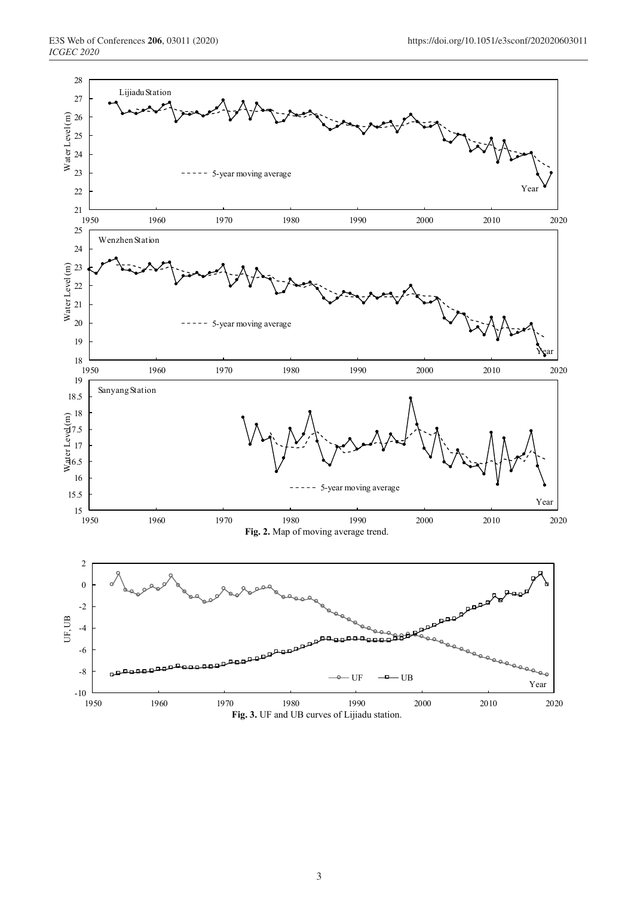